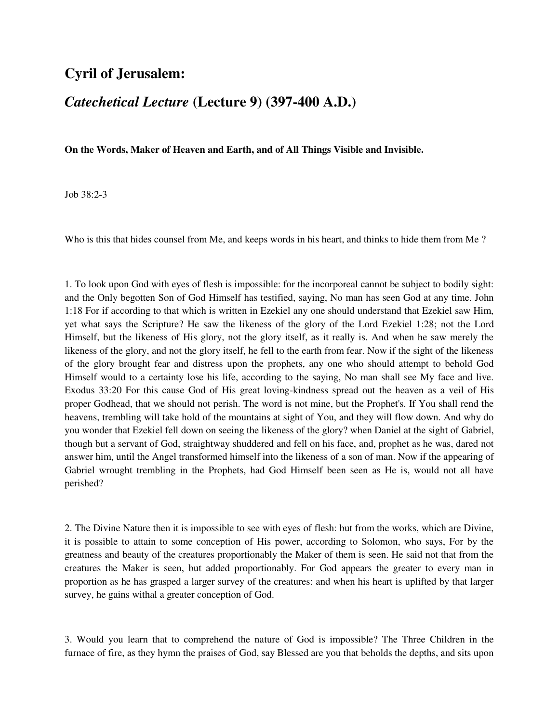## **Cyril of Jerusalem:**

## *Catechetical Lecture* **(Lecture 9) (397-400 A.D.)**

**On the Words, Maker of Heaven and Earth, and of All Things Visible and Invisible.** 

Job 38:2-3

Who is this that hides counsel from Me, and keeps words in his heart, and thinks to hide them from Me ?

1. To look upon God with eyes of flesh is impossible: for the incorporeal cannot be subject to bodily sight: and the Only begotten Son of God Himself has testified, saying, No man has seen God at any time. John 1:18 For if according to that which is written in Ezekiel any one should understand that Ezekiel saw Him, yet what says the Scripture? He saw the likeness of the glory of the Lord Ezekiel 1:28; not the Lord Himself, but the likeness of His glory, not the glory itself, as it really is. And when he saw merely the likeness of the glory, and not the glory itself, he fell to the earth from fear. Now if the sight of the likeness of the glory brought fear and distress upon the prophets, any one who should attempt to behold God Himself would to a certainty lose his life, according to the saying, No man shall see My face and live. Exodus 33:20 For this cause God of His great loving-kindness spread out the heaven as a veil of His proper Godhead, that we should not perish. The word is not mine, but the Prophet's. If You shall rend the heavens, trembling will take hold of the mountains at sight of You, and they will flow down. And why do you wonder that Ezekiel fell down on seeing the likeness of the glory? when Daniel at the sight of Gabriel, though but a servant of God, straightway shuddered and fell on his face, and, prophet as he was, dared not answer him, until the Angel transformed himself into the likeness of a son of man. Now if the appearing of Gabriel wrought trembling in the Prophets, had God Himself been seen as He is, would not all have perished?

2. The Divine Nature then it is impossible to see with eyes of flesh: but from the works, which are Divine, it is possible to attain to some conception of His power, according to Solomon, who says, For by the greatness and beauty of the creatures proportionably the Maker of them is seen. He said not that from the creatures the Maker is seen, but added proportionably. For God appears the greater to every man in proportion as he has grasped a larger survey of the creatures: and when his heart is uplifted by that larger survey, he gains withal a greater conception of God.

3. Would you learn that to comprehend the nature of God is impossible? The Three Children in the furnace of fire, as they hymn the praises of God, say Blessed are you that beholds the depths, and sits upon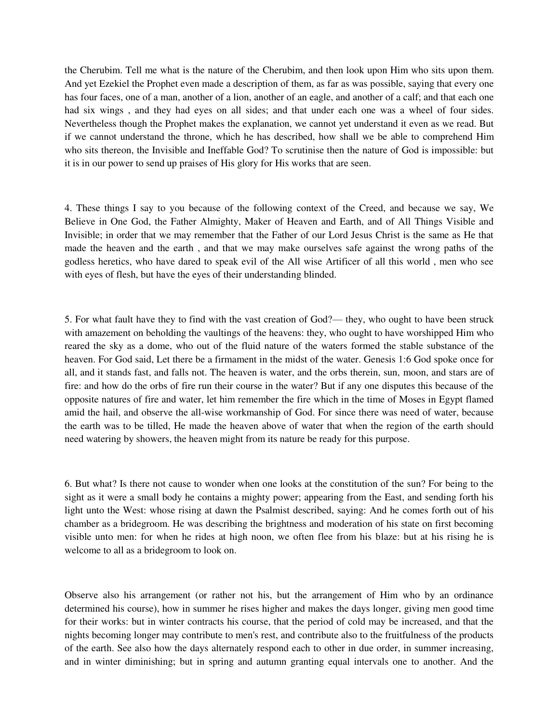the Cherubim. Tell me what is the nature of the Cherubim, and then look upon Him who sits upon them. And yet Ezekiel the Prophet even made a description of them, as far as was possible, saying that every one has four faces, one of a man, another of a lion, another of an eagle, and another of a calf; and that each one had six wings , and they had eyes on all sides; and that under each one was a wheel of four sides. Nevertheless though the Prophet makes the explanation, we cannot yet understand it even as we read. But if we cannot understand the throne, which he has described, how shall we be able to comprehend Him who sits thereon, the Invisible and Ineffable God? To scrutinise then the nature of God is impossible: but it is in our power to send up praises of His glory for His works that are seen.

4. These things I say to you because of the following context of the Creed, and because we say, We Believe in One God, the Father Almighty, Maker of Heaven and Earth, and of All Things Visible and Invisible; in order that we may remember that the Father of our Lord Jesus Christ is the same as He that made the heaven and the earth , and that we may make ourselves safe against the wrong paths of the godless heretics, who have dared to speak evil of the All wise Artificer of all this world , men who see with eyes of flesh, but have the eyes of their understanding blinded.

5. For what fault have they to find with the vast creation of God?— they, who ought to have been struck with amazement on beholding the vaultings of the heavens: they, who ought to have worshipped Him who reared the sky as a dome, who out of the fluid nature of the waters formed the stable substance of the heaven. For God said, Let there be a firmament in the midst of the water. Genesis 1:6 God spoke once for all, and it stands fast, and falls not. The heaven is water, and the orbs therein, sun, moon, and stars are of fire: and how do the orbs of fire run their course in the water? But if any one disputes this because of the opposite natures of fire and water, let him remember the fire which in the time of Moses in Egypt flamed amid the hail, and observe the all-wise workmanship of God. For since there was need of water, because the earth was to be tilled, He made the heaven above of water that when the region of the earth should need watering by showers, the heaven might from its nature be ready for this purpose.

6. But what? Is there not cause to wonder when one looks at the constitution of the sun? For being to the sight as it were a small body he contains a mighty power; appearing from the East, and sending forth his light unto the West: whose rising at dawn the Psalmist described, saying: And he comes forth out of his chamber as a bridegroom. He was describing the brightness and moderation of his state on first becoming visible unto men: for when he rides at high noon, we often flee from his blaze: but at his rising he is welcome to all as a bridegroom to look on.

Observe also his arrangement (or rather not his, but the arrangement of Him who by an ordinance determined his course), how in summer he rises higher and makes the days longer, giving men good time for their works: but in winter contracts his course, that the period of cold may be increased, and that the nights becoming longer may contribute to men's rest, and contribute also to the fruitfulness of the products of the earth. See also how the days alternately respond each to other in due order, in summer increasing, and in winter diminishing; but in spring and autumn granting equal intervals one to another. And the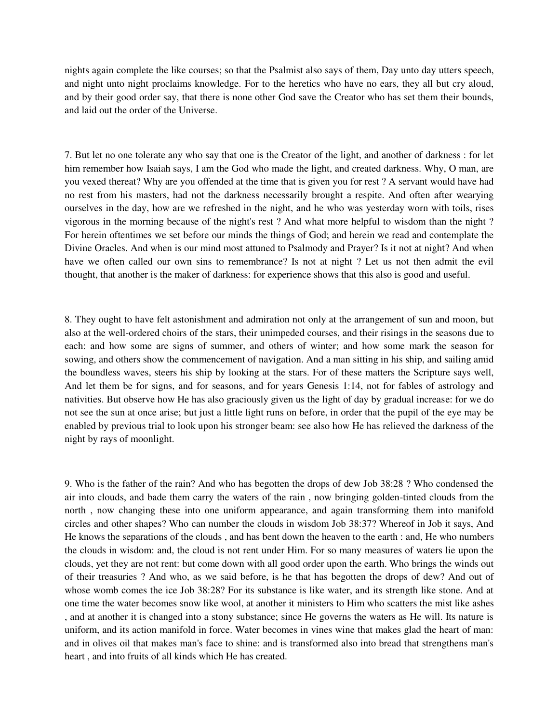nights again complete the like courses; so that the Psalmist also says of them, Day unto day utters speech, and night unto night proclaims knowledge. For to the heretics who have no ears, they all but cry aloud, and by their good order say, that there is none other God save the Creator who has set them their bounds, and laid out the order of the Universe.

7. But let no one tolerate any who say that one is the Creator of the light, and another of darkness : for let him remember how Isaiah says, I am the God who made the light, and created darkness. Why, O man, are you vexed thereat? Why are you offended at the time that is given you for rest ? A servant would have had no rest from his masters, had not the darkness necessarily brought a respite. And often after wearying ourselves in the day, how are we refreshed in the night, and he who was yesterday worn with toils, rises vigorous in the morning because of the night's rest ? And what more helpful to wisdom than the night ? For herein oftentimes we set before our minds the things of God; and herein we read and contemplate the Divine Oracles. And when is our mind most attuned to Psalmody and Prayer? Is it not at night? And when have we often called our own sins to remembrance? Is not at night ? Let us not then admit the evil thought, that another is the maker of darkness: for experience shows that this also is good and useful.

8. They ought to have felt astonishment and admiration not only at the arrangement of sun and moon, but also at the well-ordered choirs of the stars, their unimpeded courses, and their risings in the seasons due to each: and how some are signs of summer, and others of winter; and how some mark the season for sowing, and others show the commencement of navigation. And a man sitting in his ship, and sailing amid the boundless waves, steers his ship by looking at the stars. For of these matters the Scripture says well, And let them be for signs, and for seasons, and for years Genesis 1:14, not for fables of astrology and nativities. But observe how He has also graciously given us the light of day by gradual increase: for we do not see the sun at once arise; but just a little light runs on before, in order that the pupil of the eye may be enabled by previous trial to look upon his stronger beam: see also how He has relieved the darkness of the night by rays of moonlight.

9. Who is the father of the rain? And who has begotten the drops of dew Job 38:28 ? Who condensed the air into clouds, and bade them carry the waters of the rain , now bringing golden-tinted clouds from the north , now changing these into one uniform appearance, and again transforming them into manifold circles and other shapes? Who can number the clouds in wisdom Job 38:37? Whereof in Job it says, And He knows the separations of the clouds , and has bent down the heaven to the earth : and, He who numbers the clouds in wisdom: and, the cloud is not rent under Him. For so many measures of waters lie upon the clouds, yet they are not rent: but come down with all good order upon the earth. Who brings the winds out of their treasuries ? And who, as we said before, is he that has begotten the drops of dew? And out of whose womb comes the ice Job 38:28? For its substance is like water, and its strength like stone. And at one time the water becomes snow like wool, at another it ministers to Him who scatters the mist like ashes , and at another it is changed into a stony substance; since He governs the waters as He will. Its nature is uniform, and its action manifold in force. Water becomes in vines wine that makes glad the heart of man: and in olives oil that makes man's face to shine: and is transformed also into bread that strengthens man's heart , and into fruits of all kinds which He has created.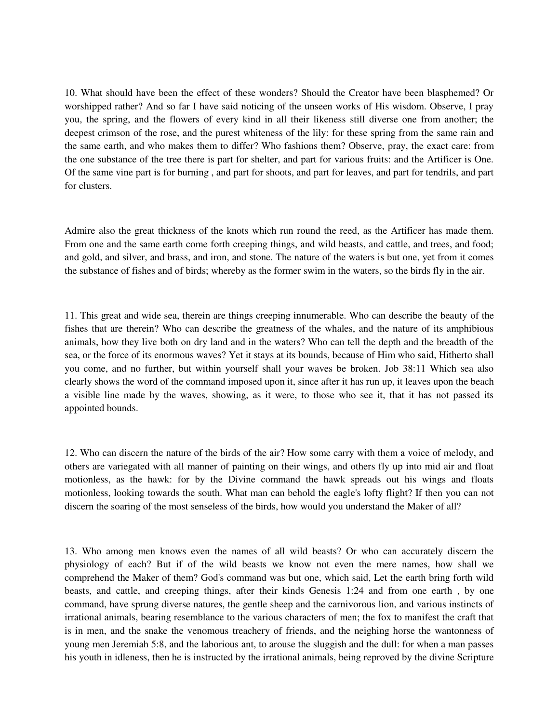10. What should have been the effect of these wonders? Should the Creator have been blasphemed? Or worshipped rather? And so far I have said noticing of the unseen works of His wisdom. Observe, I pray you, the spring, and the flowers of every kind in all their likeness still diverse one from another; the deepest crimson of the rose, and the purest whiteness of the lily: for these spring from the same rain and the same earth, and who makes them to differ? Who fashions them? Observe, pray, the exact care: from the one substance of the tree there is part for shelter, and part for various fruits: and the Artificer is One. Of the same vine part is for burning , and part for shoots, and part for leaves, and part for tendrils, and part for clusters.

Admire also the great thickness of the knots which run round the reed, as the Artificer has made them. From one and the same earth come forth creeping things, and wild beasts, and cattle, and trees, and food; and gold, and silver, and brass, and iron, and stone. The nature of the waters is but one, yet from it comes the substance of fishes and of birds; whereby as the former swim in the waters, so the birds fly in the air.

11. This great and wide sea, therein are things creeping innumerable. Who can describe the beauty of the fishes that are therein? Who can describe the greatness of the whales, and the nature of its amphibious animals, how they live both on dry land and in the waters? Who can tell the depth and the breadth of the sea, or the force of its enormous waves? Yet it stays at its bounds, because of Him who said, Hitherto shall you come, and no further, but within yourself shall your waves be broken. Job 38:11 Which sea also clearly shows the word of the command imposed upon it, since after it has run up, it leaves upon the beach a visible line made by the waves, showing, as it were, to those who see it, that it has not passed its appointed bounds.

12. Who can discern the nature of the birds of the air? How some carry with them a voice of melody, and others are variegated with all manner of painting on their wings, and others fly up into mid air and float motionless, as the hawk: for by the Divine command the hawk spreads out his wings and floats motionless, looking towards the south. What man can behold the eagle's lofty flight? If then you can not discern the soaring of the most senseless of the birds, how would you understand the Maker of all?

13. Who among men knows even the names of all wild beasts? Or who can accurately discern the physiology of each? But if of the wild beasts we know not even the mere names, how shall we comprehend the Maker of them? God's command was but one, which said, Let the earth bring forth wild beasts, and cattle, and creeping things, after their kinds Genesis 1:24 and from one earth , by one command, have sprung diverse natures, the gentle sheep and the carnivorous lion, and various instincts of irrational animals, bearing resemblance to the various characters of men; the fox to manifest the craft that is in men, and the snake the venomous treachery of friends, and the neighing horse the wantonness of young men Jeremiah 5:8, and the laborious ant, to arouse the sluggish and the dull: for when a man passes his youth in idleness, then he is instructed by the irrational animals, being reproved by the divine Scripture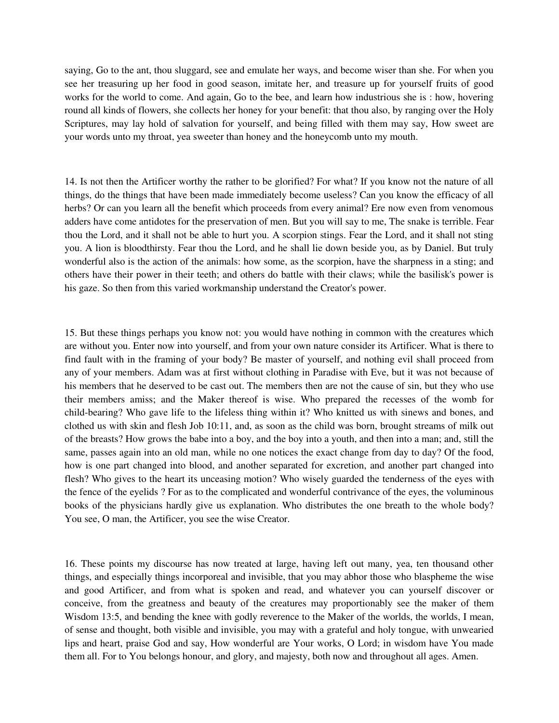saying, Go to the ant, thou sluggard, see and emulate her ways, and become wiser than she. For when you see her treasuring up her food in good season, imitate her, and treasure up for yourself fruits of good works for the world to come. And again, Go to the bee, and learn how industrious she is : how, hovering round all kinds of flowers, she collects her honey for your benefit: that thou also, by ranging over the Holy Scriptures, may lay hold of salvation for yourself, and being filled with them may say, How sweet are your words unto my throat, yea sweeter than honey and the honeycomb unto my mouth.

14. Is not then the Artificer worthy the rather to be glorified? For what? If you know not the nature of all things, do the things that have been made immediately become useless? Can you know the efficacy of all herbs? Or can you learn all the benefit which proceeds from every animal? Ere now even from venomous adders have come antidotes for the preservation of men. But you will say to me, The snake is terrible. Fear thou the Lord, and it shall not be able to hurt you. A scorpion stings. Fear the Lord, and it shall not sting you. A lion is bloodthirsty. Fear thou the Lord, and he shall lie down beside you, as by Daniel. But truly wonderful also is the action of the animals: how some, as the scorpion, have the sharpness in a sting; and others have their power in their teeth; and others do battle with their claws; while the basilisk's power is his gaze. So then from this varied workmanship understand the Creator's power.

15. But these things perhaps you know not: you would have nothing in common with the creatures which are without you. Enter now into yourself, and from your own nature consider its Artificer. What is there to find fault with in the framing of your body? Be master of yourself, and nothing evil shall proceed from any of your members. Adam was at first without clothing in Paradise with Eve, but it was not because of his members that he deserved to be cast out. The members then are not the cause of sin, but they who use their members amiss; and the Maker thereof is wise. Who prepared the recesses of the womb for child-bearing? Who gave life to the lifeless thing within it? Who knitted us with sinews and bones, and clothed us with skin and flesh Job 10:11, and, as soon as the child was born, brought streams of milk out of the breasts? How grows the babe into a boy, and the boy into a youth, and then into a man; and, still the same, passes again into an old man, while no one notices the exact change from day to day? Of the food, how is one part changed into blood, and another separated for excretion, and another part changed into flesh? Who gives to the heart its unceasing motion? Who wisely guarded the tenderness of the eyes with the fence of the eyelids ? For as to the complicated and wonderful contrivance of the eyes, the voluminous books of the physicians hardly give us explanation. Who distributes the one breath to the whole body? You see, O man, the Artificer, you see the wise Creator.

16. These points my discourse has now treated at large, having left out many, yea, ten thousand other things, and especially things incorporeal and invisible, that you may abhor those who blaspheme the wise and good Artificer, and from what is spoken and read, and whatever you can yourself discover or conceive, from the greatness and beauty of the creatures may proportionably see the maker of them Wisdom 13:5, and bending the knee with godly reverence to the Maker of the worlds, the worlds, I mean, of sense and thought, both visible and invisible, you may with a grateful and holy tongue, with unwearied lips and heart, praise God and say, How wonderful are Your works, O Lord; in wisdom have You made them all. For to You belongs honour, and glory, and majesty, both now and throughout all ages. Amen.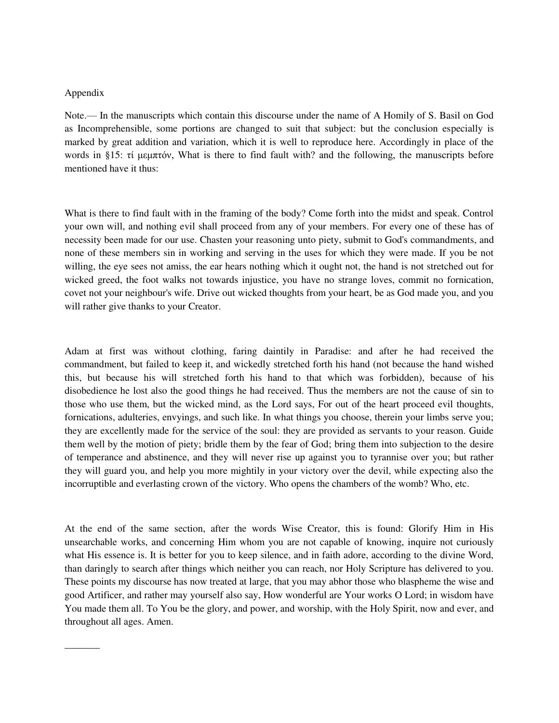## Appendix

 $\overline{\phantom{a}}$ 

Note.— In the manuscripts which contain this discourse under the name of A Homily of S. Basil on God as Incomprehensible, some portions are changed to suit that subject: but the conclusion especially is marked by great addition and variation, which it is well to reproduce here. Accordingly in place of the words in §15: τί μεμπτόν, What is there to find fault with? and the following, the manuscripts before mentioned have it thus:

What is there to find fault with in the framing of the body? Come forth into the midst and speak. Control your own will, and nothing evil shall proceed from any of your members. For every one of these has of necessity been made for our use. Chasten your reasoning unto piety, submit to God's commandments, and none of these members sin in working and serving in the uses for which they were made. If you be not willing, the eye sees not amiss, the ear hears nothing which it ought not, the hand is not stretched out for wicked greed, the foot walks not towards injustice, you have no strange loves, commit no fornication, covet not your neighbour's wife. Drive out wicked thoughts from your heart, be as God made you, and you will rather give thanks to your Creator.

Adam at first was without clothing, faring daintily in Paradise: and after he had received the commandment, but failed to keep it, and wickedly stretched forth his hand (not because the hand wished this, but because his will stretched forth his hand to that which was forbidden), because of his disobedience he lost also the good things he had received. Thus the members are not the cause of sin to those who use them, but the wicked mind, as the Lord says, For out of the heart proceed evil thoughts, fornications, adulteries, envyings, and such like. In what things you choose, therein your limbs serve you; they are excellently made for the service of the soul: they are provided as servants to your reason. Guide them well by the motion of piety; bridle them by the fear of God; bring them into subjection to the desire of temperance and abstinence, and they will never rise up against you to tyrannise over you; but rather they will guard you, and help you more mightily in your victory over the devil, while expecting also the incorruptible and everlasting crown of the victory. Who opens the chambers of the womb? Who, etc.

At the end of the same section, after the words Wise Creator, this is found: Glorify Him in His unsearchable works, and concerning Him whom you are not capable of knowing, inquire not curiously what His essence is. It is better for you to keep silence, and in faith adore, according to the divine Word, than daringly to search after things which neither you can reach, nor Holy Scripture has delivered to you. These points my discourse has now treated at large, that you may abhor those who blaspheme the wise and good Artificer, and rather may yourself also say, How wonderful are Your works O Lord; in wisdom have You made them all. To You be the glory, and power, and worship, with the Holy Spirit, now and ever, and throughout all ages. Amen.